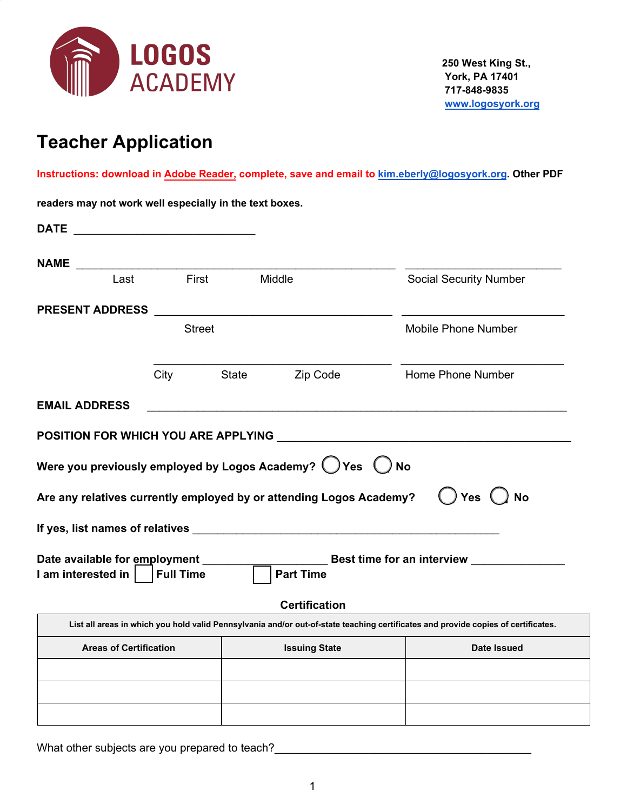

# **Teacher Application**

**Instructions: download in Adobe Reader, complete, save and email to [kim.eberly@logosyork.org](mailto:kim.eberly@logosyork.org). Other PDF**

**readers may not work well especially in the text boxes.**

| <b>DATE</b>                                                                                                                         |                  |       |                                                                                                                 |                                                                                                                                   |
|-------------------------------------------------------------------------------------------------------------------------------------|------------------|-------|-----------------------------------------------------------------------------------------------------------------|-----------------------------------------------------------------------------------------------------------------------------------|
| <b>NAME</b><br><u> 1989 - Johann John Stone, mars eta bainar eta industrial eta arteko errestan zen erroman zen erroman zen err</u> |                  |       |                                                                                                                 |                                                                                                                                   |
| Last                                                                                                                                | First            |       | Middle                                                                                                          | <b>Social Security Number</b>                                                                                                     |
| <b>PRESENT ADDRESS</b>                                                                                                              |                  |       |                                                                                                                 |                                                                                                                                   |
|                                                                                                                                     | <b>Street</b>    |       |                                                                                                                 | <b>Mobile Phone Number</b>                                                                                                        |
|                                                                                                                                     | City             | State | Zip Code                                                                                                        | Home Phone Number                                                                                                                 |
| <b>EMAIL ADDRESS</b>                                                                                                                |                  |       |                                                                                                                 |                                                                                                                                   |
|                                                                                                                                     |                  |       |                                                                                                                 |                                                                                                                                   |
|                                                                                                                                     |                  |       |                                                                                                                 |                                                                                                                                   |
|                                                                                                                                     |                  |       | Were you previously employed by Logos Academy? $\bigcirc$ Yes $\bigcirc$<br><b>No</b>                           |                                                                                                                                   |
|                                                                                                                                     |                  |       | Are any relatives currently employed by or attending Logos Academy?                                             | <b>No</b><br><b>Yes</b>                                                                                                           |
|                                                                                                                                     |                  |       | If yes, list names of relatives expression and the state of the state of the state of the state of the state of |                                                                                                                                   |
|                                                                                                                                     |                  |       |                                                                                                                 | Date available for employment ____________________________Best time for an interview _______________                              |
| I am interested in                                                                                                                  | <b>Full Time</b> |       | <b>Part Time</b>                                                                                                |                                                                                                                                   |
|                                                                                                                                     |                  |       | <b>Certification</b>                                                                                            |                                                                                                                                   |
|                                                                                                                                     |                  |       |                                                                                                                 | List all areas in which you hold valid Pennsylvania and/or out-of-state teaching certificates and provide copies of certificates. |
| <b>Areas of Certification</b>                                                                                                       |                  |       | <b>Issuing State</b>                                                                                            | Date Issued                                                                                                                       |
|                                                                                                                                     |                  |       |                                                                                                                 |                                                                                                                                   |
|                                                                                                                                     |                  |       |                                                                                                                 |                                                                                                                                   |
|                                                                                                                                     |                  |       |                                                                                                                 |                                                                                                                                   |

What other subjects are you prepared to teach?\_\_\_\_\_\_\_\_\_\_\_\_\_\_\_\_\_\_\_\_\_\_\_\_\_\_\_\_\_\_\_\_\_\_\_\_\_\_\_\_\_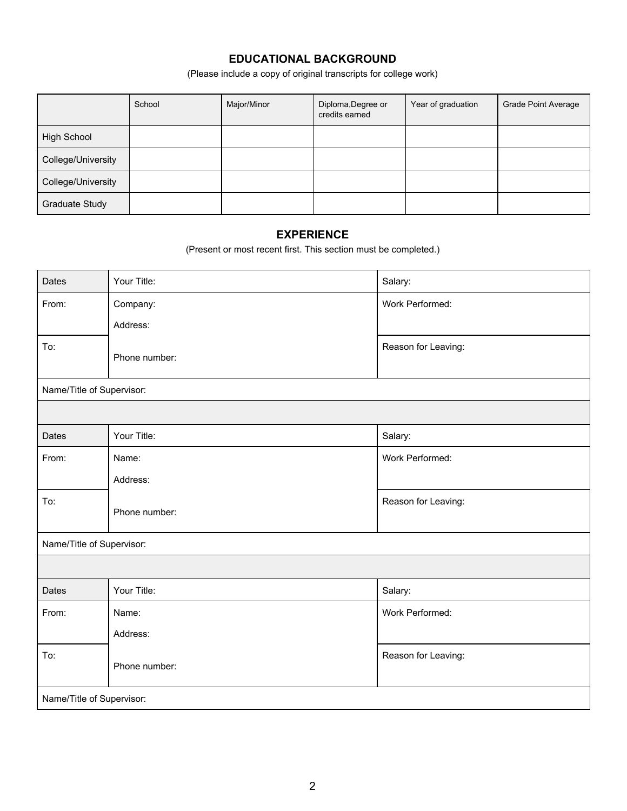## **EDUCATIONAL BACKGROUND**

(Please include a copy of original transcripts for college work)

|                    | School | Major/Minor | Diploma, Degree or<br>credits earned | Year of graduation | <b>Grade Point Average</b> |
|--------------------|--------|-------------|--------------------------------------|--------------------|----------------------------|
| High School        |        |             |                                      |                    |                            |
| College/University |        |             |                                      |                    |                            |
| College/University |        |             |                                      |                    |                            |
| Graduate Study     |        |             |                                      |                    |                            |

### **EXPERIENCE**

(Present or most recent first. This section must be completed.)

| Dates                     | Your Title:   | Salary:             |  |
|---------------------------|---------------|---------------------|--|
| From:                     | Company:      | Work Performed:     |  |
|                           | Address:      |                     |  |
| To:                       | Phone number: | Reason for Leaving: |  |
| Name/Title of Supervisor: |               |                     |  |
|                           |               |                     |  |
| Dates                     | Your Title:   | Salary:             |  |
| From:                     | Name:         | Work Performed:     |  |
|                           | Address:      |                     |  |
| To:                       | Phone number: | Reason for Leaving: |  |
| Name/Title of Supervisor: |               |                     |  |
|                           |               |                     |  |
| Dates                     | Your Title:   | Salary:             |  |
| From:                     | Name:         | Work Performed:     |  |
|                           | Address:      |                     |  |
| To:                       | Phone number: | Reason for Leaving: |  |
| Name/Title of Supervisor: |               |                     |  |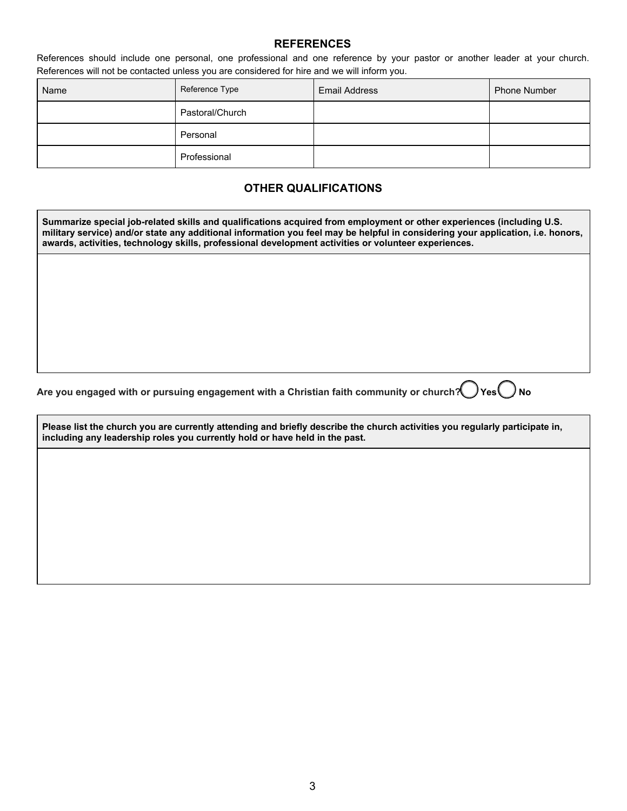#### **REFERENCES**

References should include one personal, one professional and one reference by your pastor or another leader at your church. References will not be contacted unless you are considered for hire and we will inform you.

| Name | Reference Type  | Email Address | Phone Number |
|------|-----------------|---------------|--------------|
|      | Pastoral/Church |               |              |
|      | Personal        |               |              |
|      | Professional    |               |              |

## **OTHER QUALIFICATIONS**

**Summarize special job-related skills and qualifications acquired from employment or other experiences (including U.S. military service) and/or state any additional information you feel may be helpful in considering your application, i.e. honors, awards, activities, technology skills, professional development activities or volunteer experiences.**

Are you engaged with or pursuing engagement with a Christian faith community or church? Yes Ves

**Please list the church you are currently attending and briefly describe the church activities you regularly participate in, including any leadership roles you currently hold or have held in the past.**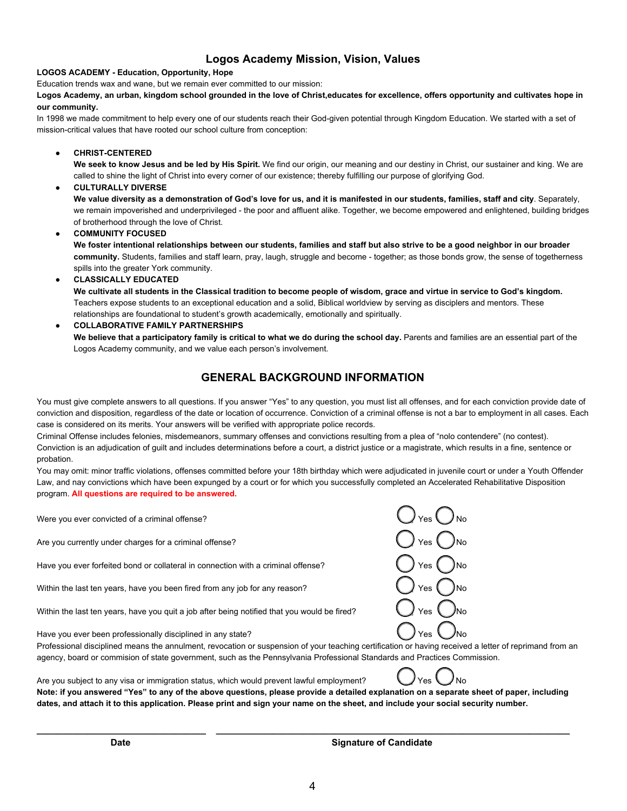#### **Logos Academy Mission, Vision, Values**

#### **LOGOS ACADEMY - Education, Opportunity, Hope**

Education trends wax and wane, but we remain ever committed to our mission:

**Logos Academy, an urban, kingdom school grounded in the love of Christ,educates for excellence, offers opportunity and cultivates hope in our community.**

In 1998 we made commitment to help every one of our students reach their God-given potential through Kingdom Education. We started with a set of mission-critical values that have rooted our school culture from conception:

**● CHRIST-CENTERED**

**We seek to know Jesus and be led by His Spirit.** We find our origin, our meaning and our destiny in Christ, our sustainer and king. We are called to shine the light of Christ into every corner of our existence; thereby fulfilling our purpose of glorifying God.

**● CULTURALLY DIVERSE**

**We value diversity as a demonstration of God's love for us, and it is manifested in our students, families, staff and city**. Separately, we remain impoverished and underprivileged - the poor and affluent alike. Together, we become empowered and enlightened, building bridges of brotherhood through the love of Christ.

**● COMMUNITY FOCUSED**

**We foster intentional relationships between our students, families and staff but also strive to be a good neighbor in our broader community.** Students, families and staff learn, pray, laugh, struggle and become - together; as those bonds grow, the sense of togetherness spills into the greater York community.

**● CLASSICALLY EDUCATED**

**We cultivate all students in the Classical tradition to become people of wisdom, grace and virtue in service to God's kingdom.** Teachers expose students to an exceptional education and a solid, Biblical worldview by serving as disciplers and mentors. These relationships are foundational to student's growth academically, emotionally and spiritually.

#### **● COLLABORATIVE FAMILY PARTNERSHIPS**

**We believe that a participatory family is critical to what we do during the school day.** Parents and families are an essential part of the Logos Academy community, and we value each person's involvement.

#### **GENERAL BACKGROUND INFORMATION**

You must give complete answers to all questions. If you answer "Yes" to any question, you must list all offenses, and for each conviction provide date of conviction and disposition, regardless of the date or location of occurrence. Conviction of a criminal offense is not a bar to employment in all cases. Each case is considered on its merits. Your answers will be verified with appropriate police records.

Criminal Offense includes felonies, misdemeanors, summary offenses and convictions resulting from a plea of "nolo contendere" (no contest). Conviction is an adjudication of guilt and includes determinations before a court, a district justice or a magistrate, which results in a fine, sentence or probation.

You may omit: minor traffic violations, offenses committed before your 18th birthday which were adjudicated in juvenile court or under a Youth Offender Law, and nay convictions which have been expunged by a court or for which you successfully completed an Accelerated Rehabilitative Disposition program. **All questions are required to be answered.**

Were you ever convicted of a criminal offense?

Are you currently under charges for a criminal offense?

Have you ever forfeited bond or collateral in connection with a criminal offense?

Within the last ten years, have you been fired from any job for any reason?

Within the last ten years, have you quit a job after being notified that you would be fired?

| Yes<br>No |
|-----------|
| Yes<br>No |
| Yes<br>No |
| Yes<br>No |
| Yes<br>٧o |
|           |

Have you ever been professionally disciplined in any state?

Professional disciplined means the annulment, revocation or suspension of your teaching certification or having received a letter of reprimand from an agency, board or commision of state government, such as the Pennsylvania Professional Standards and Practices Commission.

Are you subject to any visa or immigration status, which would prevent lawful employment?

**Note: if you answered "Yes" to any of the above questions, please provide a detailed explanation on a separate sheet of paper, including dates, and attach it to this application. Please print and sign your name on the sheet, and include your social security number.**

**\_\_\_\_\_\_\_\_\_\_\_\_\_\_\_\_\_\_\_\_\_\_\_\_\_\_\_\_\_\_\_\_\_ \_\_\_\_\_\_\_\_\_\_\_\_\_\_\_\_\_\_\_\_\_\_\_\_\_\_\_\_\_\_\_\_\_\_\_\_\_\_\_\_\_\_\_\_\_\_\_\_\_\_\_\_\_\_\_\_\_\_\_\_\_\_\_\_\_\_\_\_\_**

**Date Signature of Candidate**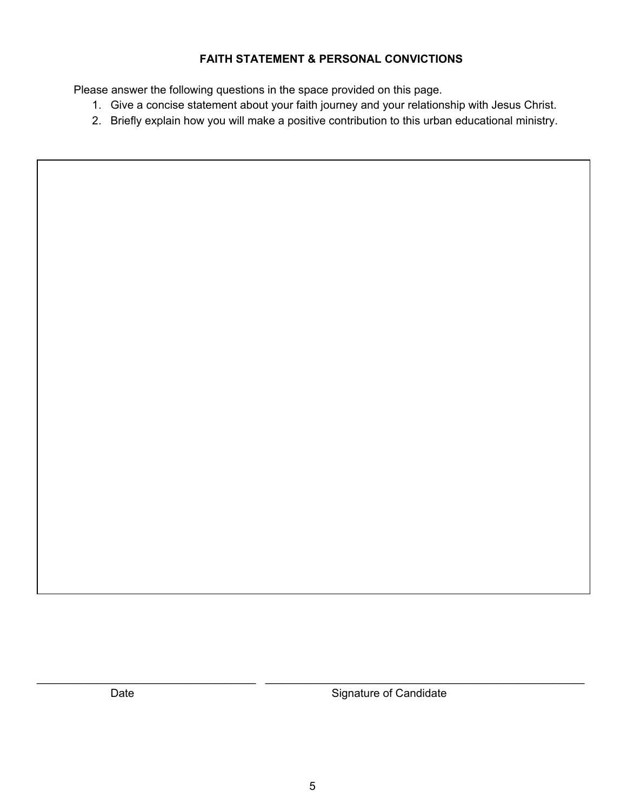## **FAITH STATEMENT & PERSONAL CONVICTIONS**

Please answer the following questions in the space provided on this page.

- 1. Give a concise statement about your faith journey and your relationship with Jesus Christ.
- 2. Briefly explain how you will make a positive contribution to this urban educational ministry.

Date **Signature of Candidate** 

\_\_\_\_\_\_\_\_\_\_\_\_\_\_\_\_\_\_\_\_\_\_\_\_\_\_\_\_\_\_\_\_\_\_\_ \_\_\_\_\_\_\_\_\_\_\_\_\_\_\_\_\_\_\_\_\_\_\_\_\_\_\_\_\_\_\_\_\_\_\_\_\_\_\_\_\_\_\_\_\_\_\_\_\_\_\_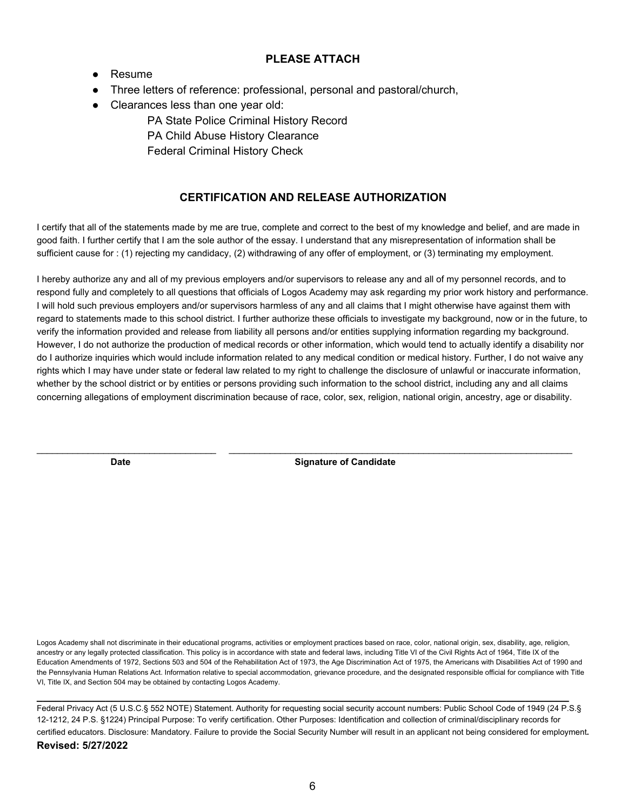#### **PLEASE ATTACH**

- Resume
- Three letters of reference: professional, personal and pastoral/church,
- Clearances less than one year old:

PA State Police Criminal History Record PA Child Abuse History Clearance Federal Criminal History Check

## **CERTIFICATION AND RELEASE AUTHORIZATION**

I certify that all of the statements made by me are true, complete and correct to the best of my knowledge and belief, and are made in good faith. I further certify that I am the sole author of the essay. I understand that any misrepresentation of information shall be sufficient cause for : (1) rejecting my candidacy, (2) withdrawing of any offer of employment, or (3) terminating my employment.

I hereby authorize any and all of my previous employers and/or supervisors to release any and all of my personnel records, and to respond fully and completely to all questions that officials of Logos Academy may ask regarding my prior work history and performance. I will hold such previous employers and/or supervisors harmless of any and all claims that I might otherwise have against them with regard to statements made to this school district. I further authorize these officials to investigate my background, now or in the future, to verify the information provided and release from liability all persons and/or entities supplying information regarding my background. However, I do not authorize the production of medical records or other information, which would tend to actually identify a disability nor do I authorize inquiries which would include information related to any medical condition or medical history. Further, I do not waive any rights which I may have under state or federal law related to my right to challenge the disclosure of unlawful or inaccurate information, whether by the school district or by entities or persons providing such information to the school district, including any and all claims concerning allegations of employment discrimination because of race, color, sex, religion, national origin, ancestry, age or disability.

\_\_\_\_\_\_\_\_\_\_\_\_\_\_\_\_\_\_\_\_\_\_\_\_\_\_\_\_\_\_\_\_\_\_\_ \_\_\_\_\_\_\_\_\_\_\_\_\_\_\_\_\_\_\_\_\_\_\_\_\_\_\_\_\_\_\_\_\_\_\_\_\_\_\_\_\_\_\_\_\_\_\_\_\_\_\_\_\_\_\_\_\_\_\_\_\_\_\_\_\_\_\_

**Date Signature of Candidate** 

Logos Academy shall not discriminate in their educational programs, activities or employment practices based on race, color, national origin, sex, disability, age, religion, ancestry or any legally protected classification. This policy is in accordance with state and federal laws, including Title VI of the Civil Rights Act of 1964. Title IX of the Education Amendments of 1972, Sections 503 and 504 of the Rehabilitation Act of 1973, the Age Discrimination Act of 1975, the Americans with Disabilities Act of 1990 and the Pennsylvania Human Relations Act. Information relative to special accommodation, grievance procedure, and the designated responsible official for compliance with Title VI, Title IX, and Section 504 may be obtained by contacting Logos Academy.

**\_\_\_\_\_\_\_\_\_\_\_\_\_\_\_\_\_\_\_\_\_\_\_\_\_\_\_\_\_\_\_\_\_\_\_\_\_\_\_\_\_\_\_\_\_\_\_\_\_\_\_\_\_\_\_\_\_\_\_\_\_\_\_\_\_\_\_\_\_\_\_\_\_\_\_\_\_\_\_\_\_\_\_\_\_** 

Federal Privacy Act (5 U.S.C.§ 552 NOTE) Statement. Authority for requesting social security account numbers: Public School Code of 1949 (24 P.S.§ 12-1212, 24 P.S. §1224) Principal Purpose: To verify certification. Other Purposes: Identification and collection of criminal/disciplinary records for certified educators. Disclosure: Mandatory. Failure to provide the Social Security Number will result in an applicant not being considered for employment**. Revised: 5/27/2022**